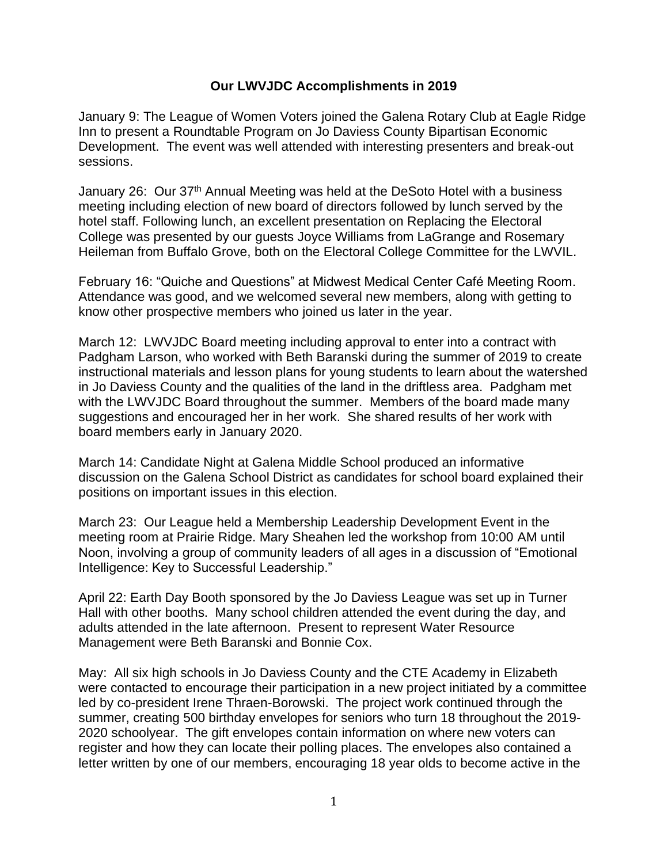## **Our LWVJDC Accomplishments in 2019**

January 9: The League of Women Voters joined the Galena Rotary Club at Eagle Ridge Inn to present a Roundtable Program on Jo Daviess County Bipartisan Economic Development. The event was well attended with interesting presenters and break-out sessions.

January 26: Our 37<sup>th</sup> Annual Meeting was held at the DeSoto Hotel with a business meeting including election of new board of directors followed by lunch served by the hotel staff. Following lunch, an excellent presentation on Replacing the Electoral College was presented by our guests Joyce Williams from LaGrange and Rosemary Heileman from Buffalo Grove, both on the Electoral College Committee for the LWVIL.

February 16: "Quiche and Questions" at Midwest Medical Center Café Meeting Room. Attendance was good, and we welcomed several new members, along with getting to know other prospective members who joined us later in the year.

March 12: LWVJDC Board meeting including approval to enter into a contract with Padgham Larson, who worked with Beth Baranski during the summer of 2019 to create instructional materials and lesson plans for young students to learn about the watershed in Jo Daviess County and the qualities of the land in the driftless area. Padgham met with the LWVJDC Board throughout the summer. Members of the board made many suggestions and encouraged her in her work. She shared results of her work with board members early in January 2020.

March 14: Candidate Night at Galena Middle School produced an informative discussion on the Galena School District as candidates for school board explained their positions on important issues in this election.

March 23: Our League held a Membership Leadership Development Event in the meeting room at Prairie Ridge. Mary Sheahen led the workshop from 10:00 AM until Noon, involving a group of community leaders of all ages in a discussion of "Emotional Intelligence: Key to Successful Leadership."

April 22: Earth Day Booth sponsored by the Jo Daviess League was set up in Turner Hall with other booths. Many school children attended the event during the day, and adults attended in the late afternoon. Present to represent Water Resource Management were Beth Baranski and Bonnie Cox.

May: All six high schools in Jo Daviess County and the CTE Academy in Elizabeth were contacted to encourage their participation in a new project initiated by a committee led by co-president Irene Thraen-Borowski. The project work continued through the summer, creating 500 birthday envelopes for seniors who turn 18 throughout the 2019- 2020 schoolyear. The gift envelopes contain information on where new voters can register and how they can locate their polling places. The envelopes also contained a letter written by one of our members, encouraging 18 year olds to become active in the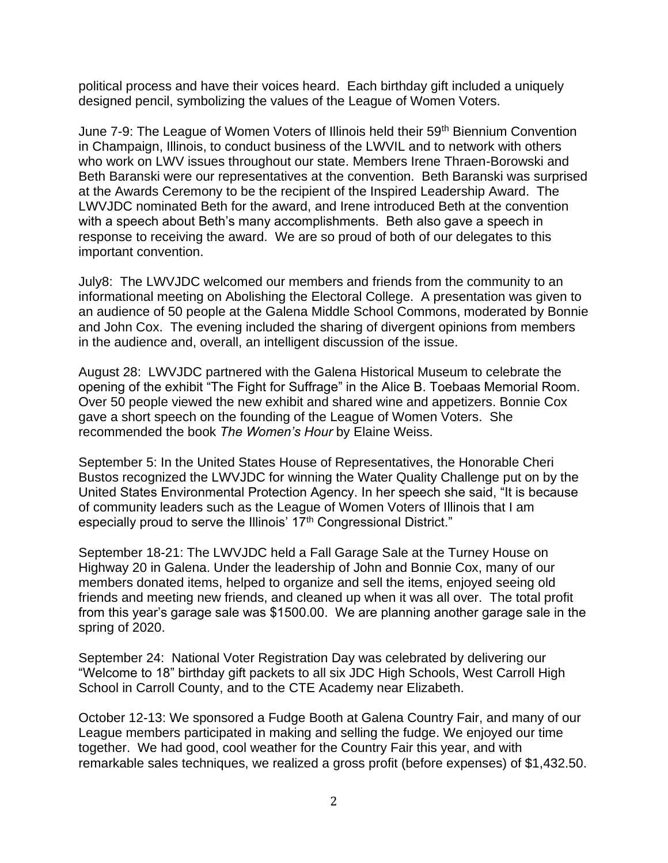political process and have their voices heard. Each birthday gift included a uniquely designed pencil, symbolizing the values of the League of Women Voters.

June 7-9: The League of Women Voters of Illinois held their 59<sup>th</sup> Biennium Convention in Champaign, Illinois, to conduct business of the LWVIL and to network with others who work on LWV issues throughout our state. Members Irene Thraen-Borowski and Beth Baranski were our representatives at the convention. Beth Baranski was surprised at the Awards Ceremony to be the recipient of the Inspired Leadership Award. The LWVJDC nominated Beth for the award, and Irene introduced Beth at the convention with a speech about Beth's many accomplishments. Beth also gave a speech in response to receiving the award. We are so proud of both of our delegates to this important convention.

July8: The LWVJDC welcomed our members and friends from the community to an informational meeting on Abolishing the Electoral College. A presentation was given to an audience of 50 people at the Galena Middle School Commons, moderated by Bonnie and John Cox. The evening included the sharing of divergent opinions from members in the audience and, overall, an intelligent discussion of the issue.

August 28: LWVJDC partnered with the Galena Historical Museum to celebrate the opening of the exhibit "The Fight for Suffrage" in the Alice B. Toebaas Memorial Room. Over 50 people viewed the new exhibit and shared wine and appetizers. Bonnie Cox gave a short speech on the founding of the League of Women Voters. She recommended the book *The Women's Hour* by Elaine Weiss.

September 5: In the United States House of Representatives, the Honorable Cheri Bustos recognized the LWVJDC for winning the Water Quality Challenge put on by the United States Environmental Protection Agency. In her speech she said, "It is because of community leaders such as the League of Women Voters of Illinois that I am especially proud to serve the Illinois' 17<sup>th</sup> Congressional District."

September 18-21: The LWVJDC held a Fall Garage Sale at the Turney House on Highway 20 in Galena. Under the leadership of John and Bonnie Cox, many of our members donated items, helped to organize and sell the items, enjoyed seeing old friends and meeting new friends, and cleaned up when it was all over. The total profit from this year's garage sale was \$1500.00. We are planning another garage sale in the spring of 2020.

September 24: National Voter Registration Day was celebrated by delivering our "Welcome to 18" birthday gift packets to all six JDC High Schools, West Carroll High School in Carroll County, and to the CTE Academy near Elizabeth.

October 12-13: We sponsored a Fudge Booth at Galena Country Fair, and many of our League members participated in making and selling the fudge. We enjoyed our time together. We had good, cool weather for the Country Fair this year, and with remarkable sales techniques, we realized a gross profit (before expenses) of \$1,432.50.